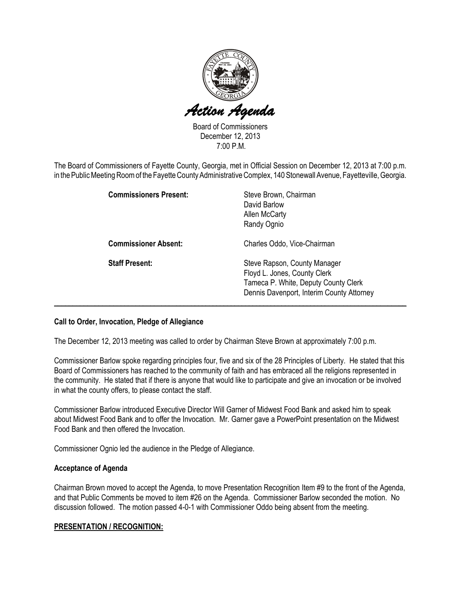

Board of Commissioners December 12, 2013 7:00 P.M.

The Board of Commissioners of Fayette County, Georgia, met in Official Session on December 12, 2013 at 7:00 p.m. in the Public Meeting Room of the Fayette County Administrative Complex, 140 Stonewall Avenue, Fayetteville, Georgia.

| <b>Commissioners Present:</b> | Steve Brown, Chairman<br>David Barlow<br><b>Allen McCarty</b><br>Randy Ognio                                                                      |
|-------------------------------|---------------------------------------------------------------------------------------------------------------------------------------------------|
| <b>Commissioner Absent:</b>   | Charles Oddo, Vice-Chairman                                                                                                                       |
| <b>Staff Present:</b>         | Steve Rapson, County Manager<br>Floyd L. Jones, County Clerk<br>Tameca P. White, Deputy County Clerk<br>Dennis Davenport, Interim County Attorney |

### Call to Order, Invocation, Pledge of Allegiance

The December 12, 2013 meeting was called to order by Chairman Steve Brown at approximately 7:00 p.m.

Commissioner Barlow spoke regarding principles four, five and six of the 28 Principles of Liberty. He stated that this Board of Commissioners has reached to the community of faith and has embraced all the religions represented in the community. He stated that if there is anyone that would like to participate and give an invocation or be involved in what the county offers, to please contact the staff.

Commissioner Barlow introduced Executive Director Will Garner of Midwest Food Bank and asked him to speak about Midwest Food Bank and to offer the Invocation. Mr. Garner gave a PowerPoint presentation on the Midwest Food Bank and then offered the Invocation.

Commissioner Ognio led the audience in the Pledge of Allegiance.

### Acceptance of Agenda

Chairman Brown moved to accept the Agenda, to move Presentation Recognition Item #9 to the front of the Agenda, and that Public Comments be moved to item #26 on the Agenda. Commissioner Barlow seconded the motion. No discussion followed. The motion passed 4-0-1 with Commissioner Oddo being absent from the meeting.

### PRESENTATION / RECOGNITION: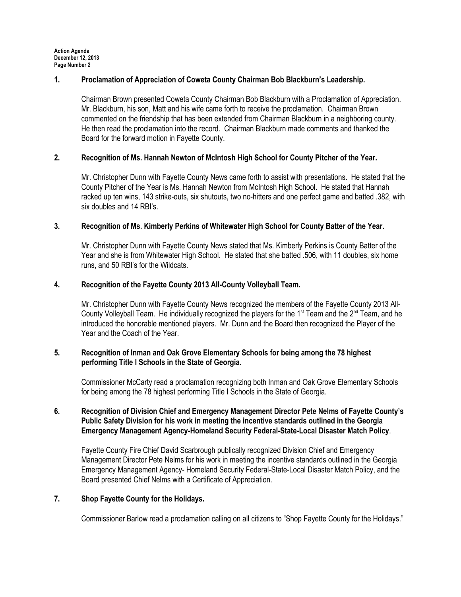## 1. Proclamation of Appreciation of Coweta County Chairman Bob Blackburn's Leadership.

Chairman Brown presented Coweta County Chairman Bob Blackburn with a Proclamation of Appreciation. Mr. Blackburn, his son, Matt and his wife came forth to receive the proclamation. Chairman Brown commented on the friendship that has been extended from Chairman Blackburn in a neighboring county. He then read the proclamation into the record. Chairman Blackburn made comments and thanked the Board for the forward motion in Fayette County.

## 2. Recognition of Ms. Hannah Newton of McIntosh High School for County Pitcher of the Year.

Mr. Christopher Dunn with Fayette County News came forth to assist with presentations. He stated that the County Pitcher of the Year is Ms. Hannah Newton from McIntosh High School. He stated that Hannah racked up ten wins, 143 strike-outs, six shutouts, two no-hitters and one perfect game and batted .382, with six doubles and 14 RBI's.

## 3. Recognition of Ms. Kimberly Perkins of Whitewater High School for County Batter of the Year.

Mr. Christopher Dunn with Fayette County News stated that Ms. Kimberly Perkins is County Batter of the Year and she is from Whitewater High School. He stated that she batted .506, with 11 doubles, six home runs, and 50 RBI's for the Wildcats.

## 4. Recognition of the Fayette County 2013 All-County Volleyball Team.

Mr. Christopher Dunn with Fayette County News recognized the members of the Fayette County 2013 All-County Volleyball Team. He individually recognized the players for the  $1<sup>st</sup>$  Team and the  $2<sup>nd</sup>$  Team, and he introduced the honorable mentioned players. Mr. Dunn and the Board then recognized the Player of the Year and the Coach of the Year.

## 5. Recognition of Inman and Oak Grove Elementary Schools for being among the 78 highest performing Title I Schools in the State of Georgia.

Commissioner McCarty read a proclamation recognizing both Inman and Oak Grove Elementary Schools for being among the 78 highest performing Title I Schools in the State of Georgia.

# 6. Recognition of Division Chief and Emergency Management Director Pete Nelms of Fayette County's Public Safety Division for his work in meeting the incentive standards outlined in the Georgia Emergency Management Agency-Homeland Security Federal-State-Local Disaster Match Policy.

Fayette County Fire Chief David Scarbrough publically recognized Division Chief and Emergency Management Director Pete Nelms for his work in meeting the incentive standards outlined in the Georgia Emergency Management Agency- Homeland Security Federal-State-Local Disaster Match Policy, and the Board presented Chief Nelms with a Certificate of Appreciation.

### 7. Shop Fayette County for the Holidays.

Commissioner Barlow read a proclamation calling on all citizens to "Shop Fayette County for the Holidays."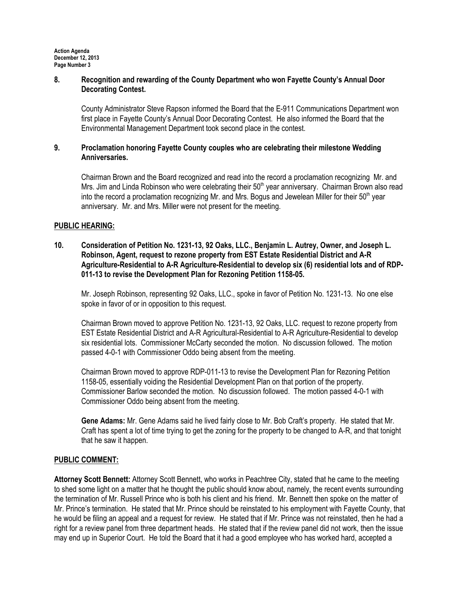Action Agenda December 12, 2013 Page Number 3

### 8. Recognition and rewarding of the County Department who won Fayette County's Annual Door Decorating Contest.

County Administrator Steve Rapson informed the Board that the E-911 Communications Department won first place in Fayette County's Annual Door Decorating Contest. He also informed the Board that the Environmental Management Department took second place in the contest.

### 9. Proclamation honoring Fayette County couples who are celebrating their milestone Wedding Anniversaries.

Chairman Brown and the Board recognized and read into the record a proclamation recognizing Mr. and Mrs. Jim and Linda Robinson who were celebrating their 50<sup>th</sup> year anniversary. Chairman Brown also read into the record a proclamation recognizing Mr. and Mrs. Bogus and Jewelean Miller for their 50<sup>th</sup> year anniversary. Mr. and Mrs. Miller were not present for the meeting.

### PUBLIC HEARING:

### 10. Consideration of Petition No. 1231-13, 92 Oaks, LLC., Benjamin L. Autrey, Owner, and Joseph L. Robinson, Agent, request to rezone property from EST Estate Residential District and A-R Agriculture-Residential to A-R Agriculture-Residential to develop six (6) residential lots and of RDP-011-13 to revise the Development Plan for Rezoning Petition 1158-05.

Mr. Joseph Robinson, representing 92 Oaks, LLC., spoke in favor of Petition No. 1231-13. No one else spoke in favor of or in opposition to this request.

Chairman Brown moved to approve Petition No. 1231-13, 92 Oaks, LLC. request to rezone property from EST Estate Residential District and A-R Agricultural-Residential to A-R Agriculture-Residential to develop six residential lots. Commissioner McCarty seconded the motion. No discussion followed. The motion passed 4-0-1 with Commissioner Oddo being absent from the meeting.

Chairman Brown moved to approve RDP-011-13 to revise the Development Plan for Rezoning Petition 1158-05, essentially voiding the Residential Development Plan on that portion of the property. Commissioner Barlow seconded the motion. No discussion followed. The motion passed 4-0-1 with Commissioner Oddo being absent from the meeting.

Gene Adams: Mr. Gene Adams said he lived fairly close to Mr. Bob Craft's property. He stated that Mr. Craft has spent a lot of time trying to get the zoning for the property to be changed to A-R, and that tonight that he saw it happen.

### PUBLIC COMMENT:

Attorney Scott Bennett: Attorney Scott Bennett, who works in Peachtree City, stated that he came to the meeting to shed some light on a matter that he thought the public should know about, namely, the recent events surrounding the termination of Mr. Russell Prince who is both his client and his friend. Mr. Bennett then spoke on the matter of Mr. Prince's termination. He stated that Mr. Prince should be reinstated to his employment with Fayette County, that he would be filing an appeal and a request for review. He stated that if Mr. Prince was not reinstated, then he had a right for a review panel from three department heads. He stated that if the review panel did not work, then the issue may end up in Superior Court. He told the Board that it had a good employee who has worked hard, accepted a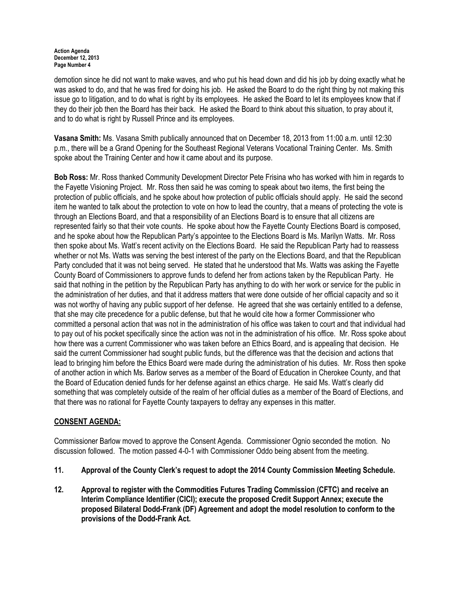#### Action Agenda December 12, 2013 Page Number 4

demotion since he did not want to make waves, and who put his head down and did his job by doing exactly what he was asked to do, and that he was fired for doing his job. He asked the Board to do the right thing by not making this issue go to litigation, and to do what is right by its employees. He asked the Board to let its employees know that if they do their job then the Board has their back. He asked the Board to think about this situation, to pray about it, and to do what is right by Russell Prince and its employees.

Vasana Smith: Ms. Vasana Smith publically announced that on December 18, 2013 from 11:00 a.m. until 12:30 p.m., there will be a Grand Opening for the Southeast Regional Veterans Vocational Training Center. Ms. Smith spoke about the Training Center and how it came about and its purpose.

Bob Ross: Mr. Ross thanked Community Development Director Pete Frisina who has worked with him in regards to the Fayette Visioning Project. Mr. Ross then said he was coming to speak about two items, the first being the protection of public officials, and he spoke about how protection of public officials should apply. He said the second item he wanted to talk about the protection to vote on how to lead the country, that a means of protecting the vote is through an Elections Board, and that a responsibility of an Elections Board is to ensure that all citizens are represented fairly so that their vote counts. He spoke about how the Fayette County Elections Board is composed, and he spoke about how the Republican Party's appointee to the Elections Board is Ms. Marilyn Watts. Mr. Ross then spoke about Ms. Watt's recent activity on the Elections Board. He said the Republican Party had to reassess whether or not Ms. Watts was serving the best interest of the party on the Elections Board, and that the Republican Party concluded that it was not being served. He stated that he understood that Ms. Watts was asking the Fayette County Board of Commissioners to approve funds to defend her from actions taken by the Republican Party. He said that nothing in the petition by the Republican Party has anything to do with her work or service for the public in the administration of her duties, and that it address matters that were done outside of her official capacity and so it was not worthy of having any public support of her defense. He agreed that she was certainly entitled to a defense, that she may cite precedence for a public defense, but that he would cite how a former Commissioner who committed a personal action that was not in the administration of his office was taken to court and that individual had to pay out of his pocket specifically since the action was not in the administration of his office. Mr. Ross spoke about how there was a current Commissioner who was taken before an Ethics Board, and is appealing that decision. He said the current Commissioner had sought public funds, but the difference was that the decision and actions that lead to bringing him before the Ethics Board were made during the administration of his duties. Mr. Ross then spoke of another action in which Ms. Barlow serves as a member of the Board of Education in Cherokee County, and that the Board of Education denied funds for her defense against an ethics charge. He said Ms. Watt's clearly did something that was completely outside of the realm of her official duties as a member of the Board of Elections, and that there was no rational for Fayette County taxpayers to defray any expenses in this matter.

# CONSENT AGENDA:

Commissioner Barlow moved to approve the Consent Agenda. Commissioner Ognio seconded the motion. No discussion followed. The motion passed 4-0-1 with Commissioner Oddo being absent from the meeting.

- 11. Approval of the County Clerk's request to adopt the 2014 County Commission Meeting Schedule.
- 12. Approval to register with the Commodities Futures Trading Commission (CFTC) and receive an Interim Compliance Identifier (CICI); execute the proposed Credit Support Annex; execute the proposed Bilateral Dodd-Frank (DF) Agreement and adopt the model resolution to conform to the provisions of the Dodd-Frank Act.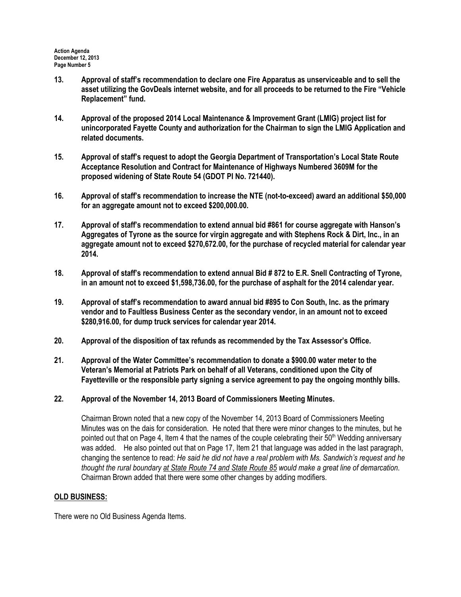- 13. Approval of staff's recommendation to declare one Fire Apparatus as unserviceable and to sell the asset utilizing the GovDeals internet website, and for all proceeds to be returned to the Fire "Vehicle Replacement" fund.
- 14. Approval of the proposed 2014 Local Maintenance & Improvement Grant (LMIG) project list for unincorporated Fayette County and authorization for the Chairman to sign the LMIG Application and related documents.
- 15. Approval of staff's request to adopt the Georgia Department of Transportation's Local State Route Acceptance Resolution and Contract for Maintenance of Highways Numbered 3609M for the proposed widening of State Route 54 (GDOT PI No. 721440).
- 16. Approval of staff's recommendation to increase the NTE (not-to-exceed) award an additional \$50,000 for an aggregate amount not to exceed \$200,000.00.
- 17. Approval of staff's recommendation to extend annual bid #861 for course aggregate with Hanson's Aggregates of Tyrone as the source for virgin aggregate and with Stephens Rock & Dirt, Inc., in an aggregate amount not to exceed \$270,672.00, for the purchase of recycled material for calendar year 2014.
- 18. Approval of staff's recommendation to extend annual Bid # 872 to E.R. Snell Contracting of Tyrone, in an amount not to exceed \$1,598,736.00, for the purchase of asphalt for the 2014 calendar year.
- 19. Approval of staff's recommendation to award annual bid #895 to Con South, Inc. as the primary vendor and to Faultless Business Center as the secondary vendor, in an amount not to exceed \$280,916.00, for dump truck services for calendar year 2014.
- 20. Approval of the disposition of tax refunds as recommended by the Tax Assessor's Office.
- 21. Approval of the Water Committee's recommendation to donate a \$900.00 water meter to the Veteran's Memorial at Patriots Park on behalf of all Veterans, conditioned upon the City of Fayetteville or the responsible party signing a service agreement to pay the ongoing monthly bills.
- 22. Approval of the November 14, 2013 Board of Commissioners Meeting Minutes.

Chairman Brown noted that a new copy of the November 14, 2013 Board of Commissioners Meeting Minutes was on the dais for consideration. He noted that there were minor changes to the minutes, but he pointed out that on Page 4, Item 4 that the names of the couple celebrating their 50<sup>th</sup> Wedding anniversary was added. He also pointed out that on Page 17, Item 21 that language was added in the last paragraph, changing the sentence to read: He said he did not have a real problem with Ms. Sandwich's request and he thought the rural boundary at State Route 74 and State Route 85 would make a great line of demarcation. Chairman Brown added that there were some other changes by adding modifiers.

### OLD BUSINESS:

There were no Old Business Agenda Items.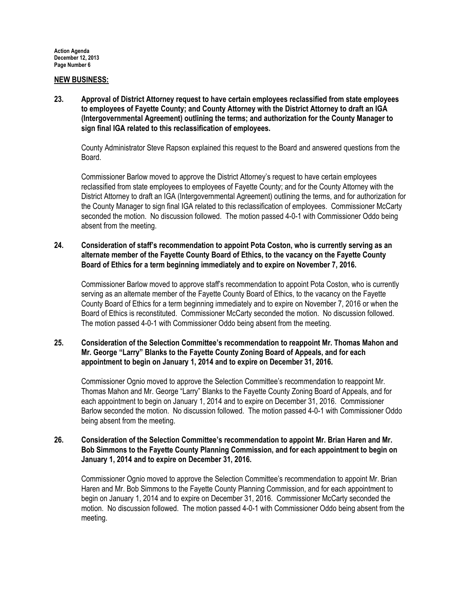### NEW BUSINESS:

23. Approval of District Attorney request to have certain employees reclassified from state employees to employees of Fayette County; and County Attorney with the District Attorney to draft an IGA (Intergovernmental Agreement) outlining the terms; and authorization for the County Manager to sign final IGA related to this reclassification of employees.

County Administrator Steve Rapson explained this request to the Board and answered questions from the Board.

Commissioner Barlow moved to approve the District Attorney's request to have certain employees reclassified from state employees to employees of Fayette County; and for the County Attorney with the District Attorney to draft an IGA (Intergovernmental Agreement) outlining the terms, and for authorization for the County Manager to sign final IGA related to this reclassification of employees. Commissioner McCarty seconded the motion. No discussion followed. The motion passed 4-0-1 with Commissioner Oddo being absent from the meeting.

## 24. Consideration of staff's recommendation to appoint Pota Coston, who is currently serving as an alternate member of the Fayette County Board of Ethics, to the vacancy on the Fayette County Board of Ethics for a term beginning immediately and to expire on November 7, 2016.

Commissioner Barlow moved to approve staff's recommendation to appoint Pota Coston, who is currently serving as an alternate member of the Fayette County Board of Ethics, to the vacancy on the Fayette County Board of Ethics for a term beginning immediately and to expire on November 7, 2016 or when the Board of Ethics is reconstituted. Commissioner McCarty seconded the motion. No discussion followed. The motion passed 4-0-1 with Commissioner Oddo being absent from the meeting.

### 25. Consideration of the Selection Committee's recommendation to reappoint Mr. Thomas Mahon and Mr. George "Larry" Blanks to the Fayette County Zoning Board of Appeals, and for each appointment to begin on January 1, 2014 and to expire on December 31, 2016.

Commissioner Ognio moved to approve the Selection Committee's recommendation to reappoint Mr. Thomas Mahon and Mr. George "Larry" Blanks to the Fayette County Zoning Board of Appeals, and for each appointment to begin on January 1, 2014 and to expire on December 31, 2016. Commissioner Barlow seconded the motion. No discussion followed. The motion passed 4-0-1 with Commissioner Oddo being absent from the meeting.

### 26. Consideration of the Selection Committee's recommendation to appoint Mr. Brian Haren and Mr. Bob Simmons to the Fayette County Planning Commission, and for each appointment to begin on January 1, 2014 and to expire on December 31, 2016.

Commissioner Ognio moved to approve the Selection Committee's recommendation to appoint Mr. Brian Haren and Mr. Bob Simmons to the Fayette County Planning Commission, and for each appointment to begin on January 1, 2014 and to expire on December 31, 2016. Commissioner McCarty seconded the motion. No discussion followed. The motion passed 4-0-1 with Commissioner Oddo being absent from the meeting.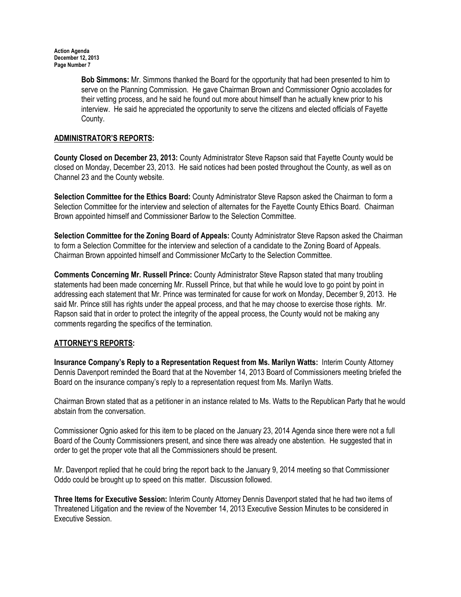Bob Simmons: Mr. Simmons thanked the Board for the opportunity that had been presented to him to serve on the Planning Commission. He gave Chairman Brown and Commissioner Ognio accolades for their vetting process, and he said he found out more about himself than he actually knew prior to his interview. He said he appreciated the opportunity to serve the citizens and elected officials of Fayette County.

# ADMINISTRATOR'S REPORTS:

County Closed on December 23, 2013: County Administrator Steve Rapson said that Fayette County would be closed on Monday, December 23, 2013. He said notices had been posted throughout the County, as well as on Channel 23 and the County website.

Selection Committee for the Ethics Board: County Administrator Steve Rapson asked the Chairman to form a Selection Committee for the interview and selection of alternates for the Fayette County Ethics Board. Chairman Brown appointed himself and Commissioner Barlow to the Selection Committee.

Selection Committee for the Zoning Board of Appeals: County Administrator Steve Rapson asked the Chairman to form a Selection Committee for the interview and selection of a candidate to the Zoning Board of Appeals. Chairman Brown appointed himself and Commissioner McCarty to the Selection Committee.

Comments Concerning Mr. Russell Prince: County Administrator Steve Rapson stated that many troubling statements had been made concerning Mr. Russell Prince, but that while he would love to go point by point in addressing each statement that Mr. Prince was terminated for cause for work on Monday, December 9, 2013. He said Mr. Prince still has rights under the appeal process, and that he may choose to exercise those rights. Mr. Rapson said that in order to protect the integrity of the appeal process, the County would not be making any comments regarding the specifics of the termination.

# ATTORNEY'S REPORTS:

Insurance Company's Reply to a Representation Request from Ms. Marilyn Watts: Interim County Attorney Dennis Davenport reminded the Board that at the November 14, 2013 Board of Commissioners meeting briefed the Board on the insurance company's reply to a representation request from Ms. Marilyn Watts.

Chairman Brown stated that as a petitioner in an instance related to Ms. Watts to the Republican Party that he would abstain from the conversation.

Commissioner Ognio asked for this item to be placed on the January 23, 2014 Agenda since there were not a full Board of the County Commissioners present, and since there was already one abstention. He suggested that in order to get the proper vote that all the Commissioners should be present.

Mr. Davenport replied that he could bring the report back to the January 9, 2014 meeting so that Commissioner Oddo could be brought up to speed on this matter. Discussion followed.

Three Items for Executive Session: Interim County Attorney Dennis Davenport stated that he had two items of Threatened Litigation and the review of the November 14, 2013 Executive Session Minutes to be considered in Executive Session.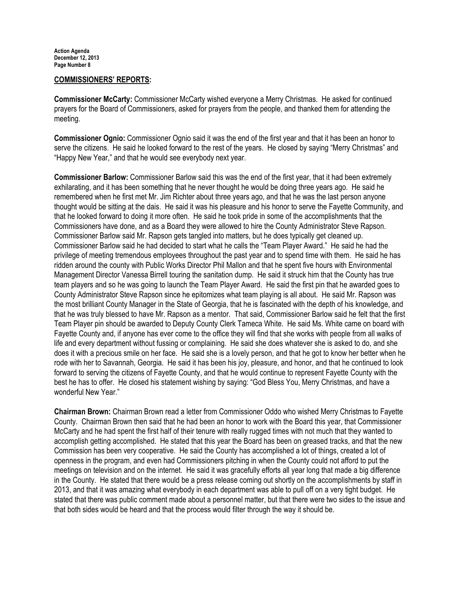### COMMISSIONERS' REPORTS:

Commissioner McCarty: Commissioner McCarty wished everyone a Merry Christmas. He asked for continued prayers for the Board of Commissioners, asked for prayers from the people, and thanked them for attending the meeting.

Commissioner Ognio: Commissioner Ognio said it was the end of the first year and that it has been an honor to serve the citizens. He said he looked forward to the rest of the years. He closed by saying "Merry Christmas" and "Happy New Year," and that he would see everybody next year.

Commissioner Barlow: Commissioner Barlow said this was the end of the first year, that it had been extremely exhilarating, and it has been something that he never thought he would be doing three years ago. He said he remembered when he first met Mr. Jim Richter about three years ago, and that he was the last person anyone thought would be sitting at the dais. He said it was his pleasure and his honor to serve the Fayette Community, and that he looked forward to doing it more often. He said he took pride in some of the accomplishments that the Commissioners have done, and as a Board they were allowed to hire the County Administrator Steve Rapson. Commissioner Barlow said Mr. Rapson gets tangled into matters, but he does typically get cleaned up. Commissioner Barlow said he had decided to start what he calls the "Team Player Award." He said he had the privilege of meeting tremendous employees throughout the past year and to spend time with them. He said he has ridden around the county with Public Works Director Phil Mallon and that he spent five hours with Environmental Management Director Vanessa Birrell touring the sanitation dump. He said it struck him that the County has true team players and so he was going to launch the Team Player Award. He said the first pin that he awarded goes to County Administrator Steve Rapson since he epitomizes what team playing is all about. He said Mr. Rapson was the most brilliant County Manager in the State of Georgia, that he is fascinated with the depth of his knowledge, and that he was truly blessed to have Mr. Rapson as a mentor. That said, Commissioner Barlow said he felt that the first Team Player pin should be awarded to Deputy County Clerk Tameca White. He said Ms. White came on board with Fayette County and, if anyone has ever come to the office they will find that she works with people from all walks of life and every department without fussing or complaining. He said she does whatever she is asked to do, and she does it with a precious smile on her face. He said she is a lovely person, and that he got to know her better when he rode with her to Savannah, Georgia. He said it has been his joy, pleasure, and honor, and that he continued to look forward to serving the citizens of Fayette County, and that he would continue to represent Fayette County with the best he has to offer. He closed his statement wishing by saying: "God Bless You, Merry Christmas, and have a wonderful New Year."

Chairman Brown: Chairman Brown read a letter from Commissioner Oddo who wished Merry Christmas to Fayette County. Chairman Brown then said that he had been an honor to work with the Board this year, that Commissioner McCarty and he had spent the first half of their tenure with really rugged times with not much that they wanted to accomplish getting accomplished. He stated that this year the Board has been on greased tracks, and that the new Commission has been very cooperative. He said the County has accomplished a lot of things, created a lot of openness in the program, and even had Commissioners pitching in when the County could not afford to put the meetings on television and on the internet. He said it was gracefully efforts all year long that made a big difference in the County. He stated that there would be a press release coming out shortly on the accomplishments by staff in 2013, and that it was amazing what everybody in each department was able to pull off on a very tight budget. He stated that there was public comment made about a personnel matter, but that there were two sides to the issue and that both sides would be heard and that the process would filter through the way it should be.